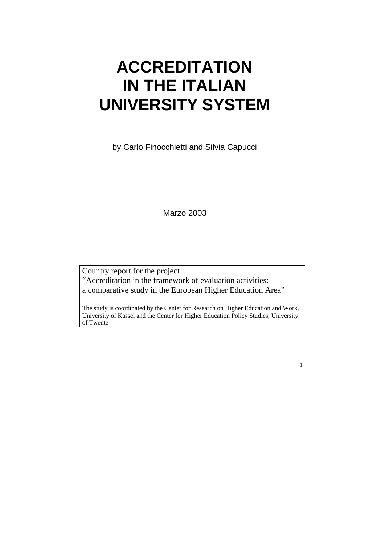# **ACCREDITATION IN THE ITALIAN UNIVERSITY SYSTEM**

by Carlo Finocchietti and Silvia Capucci

Marzo 2003

Country report for the project "Accreditation in the framework of evaluation activities: a comparative study in the European Higher Education Area"

The study is coordinated by the Center for Research on Higher Education and Work, University of Kassel and the Center for Higher Education Policy Studies, University of Twente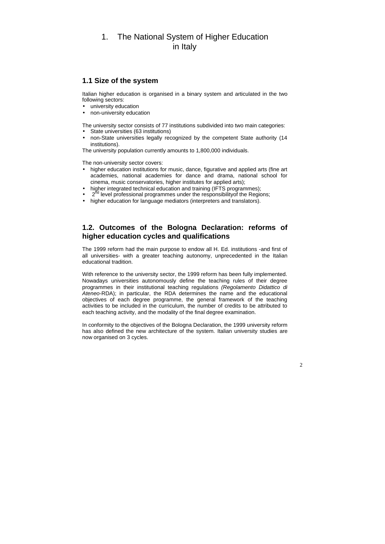# 1. The National System of Higher Education in Italy

# **1.1 Size of the system**

- university education
- non-university education

Italian higher education is organised in a binary system and articulated in the two following sectors:

- State universities (63 institutions)
- non-State universities legally recognized by the competent State authority (14 institutions).

The university sector consists of 77 institutions subdivided into two main categories:

The university population currently amounts to 1,800,000 individuals.

- higher education institutions for music, dance, figurative and applied arts (fine art academies, national academies for dance and drama, national school for cinema, music conservatories, higher institutes for applied arts);
- higher integrated technical education and training (IFTS programmes);
- $2^{nd}$  level professional programmes under the responsibility of the Regions;
- higher education for language mediators (interpreters and translators).

The non-university sector covers:

# **1.2. Outcomes of the Bologna Declaration: reforms of higher education cycles and qualifications**

The 1999 reform had the main purpose to endow all H. Ed. institutions -and first of all universities- with a greater teaching autonomy, unprecedented in the Italian educational tradition.

With reference to the university sector, the 1999 reform has been fully implemented. Nowadays universities autonomously define the teaching rules of their degree programmes in their institutional teaching regulations (Regolamento Didattico di Ateneo-RDA); in particular, the RDA determines the name and the educational objectives of each degree programme, the general framework of the teaching activities to be included in the curriculum, the number of credits to be attributed to each teaching activity, and the modality of the final degree examination.

In conformity to the objectives of the Bologna Declaration, the 1999 university reform has also defined the new architecture of the system. Italian university studies are now organised on 3 cycles.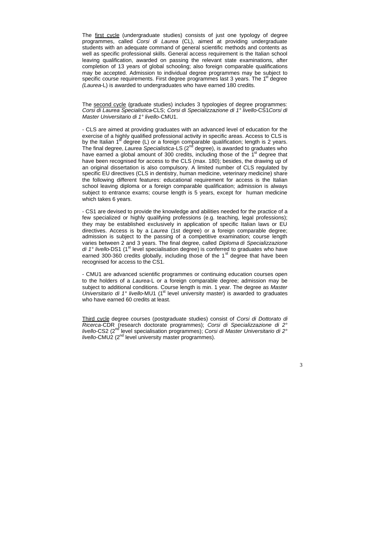The first cycle (undergraduate studies) consists of just one typology of degree programmes, called Corsi di Laurea (CL), aimed at providing undergraduate students with an adequate command of general scientific methods and contents as well as specific professional skills. General access requirement is the Italian school leaving qualification, awarded on passing the relevant state examinations, after completion of 13 years of global schooling; also foreign comparable qualifications may be accepted. Admission to individual degree programmes may be subject to specific course requirements. First degree programmes last 3 years. The  $1<sup>st</sup>$  degree (Laurea-L) is awarded to undergraduates who have earned 180 credits.

The second cycle (graduate studies) includes 3 typologies of degree programmes: Corsi di Laurea Specialistica-CLS; Corsi di Specializzazione di 1° livello-CS1Corsi di Master Universitario di 1° livello-CMU1.

- CLS are aimed at providing graduates with an advanced level of education for the exercise of a highly qualified professional activity in specific areas. Access to CLS is by the Italian  $1<sup>st</sup>$  degree (L) or a foreign comparable qualification; length is 2 years. The final degree, Laurea Specialistica-LS  $(2^{nd}$  degree), is awarded to graduates who have earned a global amount of 300 credits, including those of the  $1<sup>st</sup>$  degree that have been recognised for access to the CLS (max. 180); besides, the drawing up of an original dissertation is also compulsory. A limited number of CLS regulated by specific EU directives (CLS in dentistry, human medicine, veterinary medicine) share the following different features: educational requirement for access is the Italian school leaving diploma or a foreign comparable qualification; admission is always subject to entrance exams; course length is 5 years, except for human medicine which takes 6 years.

Third cycle degree courses (postgraduate studies) consist of Corsi di Dottorato di Ricerca-CDR (research doctorate programmes); Corsi di Specializzazione di 2° livello-CS2 ( $2<sup>nd</sup>$  level specialisation programmes); Corsi di Master Universitario di 2° livello-CMU2  $(2^{nd}$  level university master programmes).

- CS1 are devised to provide the knowledge and abilities needed for the practice of a few specialized or highly qualifying professions (e.g. teaching, legal professions); they may be established exclusively in application of specific Italian laws or EU directives. Access is by a Laurea (1st degree) or a foreign comparable degree; admission is subject to the passing of a competitive examination; course length varies between 2 and 3 years. The final degree, called Diploma di Specializzazione di  $1^\circ$  livello-DS1 (1<sup>st</sup> level specialisation degree) is conferred to graduates who have earned 300-360 credits globally, including those of the  $1<sup>st</sup>$  degree that have been recognised for access to the CS1.

- CMU1 are advanced scientific programmes or continuing education courses open to the holders of a Laurea-L or a foreign comparable degree; admission may be subject to additional conditions. Course length is min. 1 year. The degree as Master Universitario di 1 $^{\circ}$  livello-MU1 (1 $^{\text{st}}$  level university master) is awarded to graduates who have earned 60 credits at least.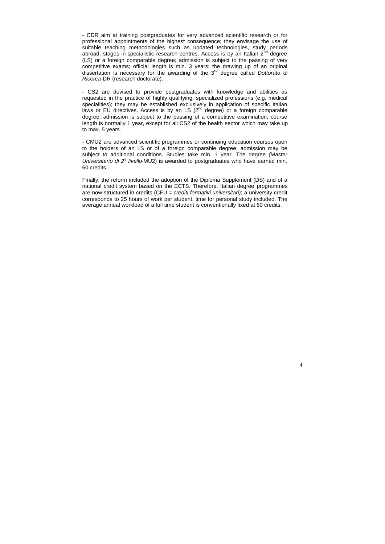- CDR aim at training postgraduates for very advanced scientific research or for professional appointments of the highest consequence; they envisage the use of suitable teaching methodologies such as updated technologies, study periods abroad, stages in specialistic research centres. Access is by an Italian  $2^{nd}$  degree (LS) or a foreign comparable degree; admission is subject to the passing of very competitive exams; official length is min. 3 years; the drawing up of an original dissertation is necessary for the awarding of the  $3<sup>rd</sup>$  degree called Dottorato di Ricerca-DR (research doctorate).

- CS2 are devised to provide postgraduates with knowledge and abilities as requested in the practice of highly qualifying, specialized professions (e.g. medical specialities); they may be established exclusively in application of specific Italian laws or EU directives. Access is by an LS  $(2^{nd}$  degree) or a foreign comparable degree; admission is subject to the passing of a competitive examination; course length is normally 1 year, except for all CS2 of the health sector which may take up to max. 5 years.

- CMU2 are advanced scientific programmes or continuing education courses open to the holders of an LS or of a foreign comparable degree; admission may be subject to additional conditions. Studies take min. 1 year. The degree (Master Universitario di 2° livello-MU2) is awarded to postgraduates who have earned min. 60 credits.

Finally, the reform included the adoption of the Diploma Supplement (DS) and of a national credit system based on the ECTS. Therefore, Italian degree programmes are now structured in credits (CFU = crediti formativi universitari); a university credit corresponds to 25 hours of work per student, time for personal study included. The average annual workload of a full time student is conventionally fixed at 60 credits.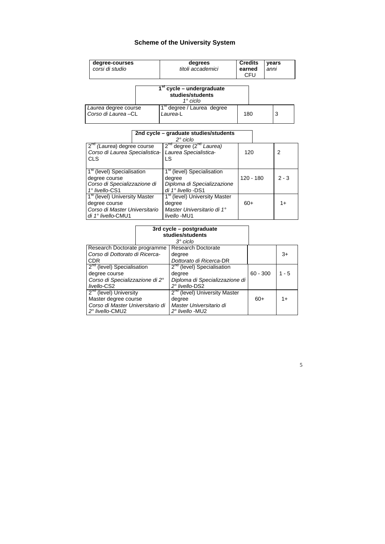# **Scheme of the University System**

| degree-courses<br>corsi di studio                                                                                 |  | degrees<br>titoli accademici                                                                          | <b>Credits</b><br>anni<br>earned<br><b>CFU</b> |             | years |                |  |
|-------------------------------------------------------------------------------------------------------------------|--|-------------------------------------------------------------------------------------------------------|------------------------------------------------|-------------|-------|----------------|--|
|                                                                                                                   |  | 1 <sup>st</sup> cycle – undergraduate<br>studies/students<br>$1^\circ$ ciclo                          |                                                |             |       |                |  |
| Laurea degree course<br>Corso di Laurea-CL                                                                        |  | 1 <sup>st</sup> degree / Laurea degree<br>Laurea-L                                                    | 180                                            | 3           |       |                |  |
| 2nd cycle – graduate studies/students<br>$2^{\circ}$ ciclo                                                        |  |                                                                                                       |                                                |             |       |                |  |
| $2^{n\alpha}$ (Laurea) degree course<br>Corso di Laurea Specialistica-<br><b>CLS</b>                              |  | 2 <sup>nd</sup> degree (2 <sup>nd</sup> Laurea)<br>Laurea Specialistica-<br><b>LS</b>                 | 120                                            |             |       | $\overline{2}$ |  |
| 1 <sup>st</sup> (level) Specialisation<br>degree course<br>Corso di Specializzazione di<br>1° livello-CS1         |  | 1 <sup>st</sup> (level) Specialisation<br>degree<br>Diploma di Specializzazione<br>di 1º livello -DS1 |                                                | $120 - 180$ |       | $2 - 3$        |  |
| 1 <sup>st</sup> (level) University Master<br>degree course<br>Corso di Master Universitario<br>di 1° livello-CMU1 |  | 1 <sup>st</sup> (level) University Master<br>degree<br>Master Universitario di 1°<br>livello-MU1      | $60+$                                          |             | $1+$  |                |  |

|                                                     |  | $3^\circ$ ciclo                            |            |         |
|-----------------------------------------------------|--|--------------------------------------------|------------|---------|
| Research Doctorate programme                        |  | <b>Research Doctorate</b>                  |            |         |
| Corso di Dottorato di Ricerca-                      |  | degree                                     |            | $3+$    |
| <b>CDR</b>                                          |  | Dottorato di Ricerca-DR                    |            |         |
| 2 <sup>nd</sup> (level) Specialisation              |  | $2^{na}$ (level) Specialisation            |            |         |
| degree course                                       |  | degree                                     | $60 - 300$ | $1 - 5$ |
| Corso di Specializzazione di 2°                     |  | Diploma di Specializzazione di             |            |         |
| livello-CS2                                         |  | 2° livello-DS2                             |            |         |
| $2na$ (level) University                            |  | 2 <sup>nd</sup> (level) University Master  |            |         |
| Master degree course                                |  | degree                                     | $60+$      | $1+$    |
| Corso di Master Universitario di<br>2° livello-CMU2 |  | Master Universitario di<br>2° livello -MU2 |            |         |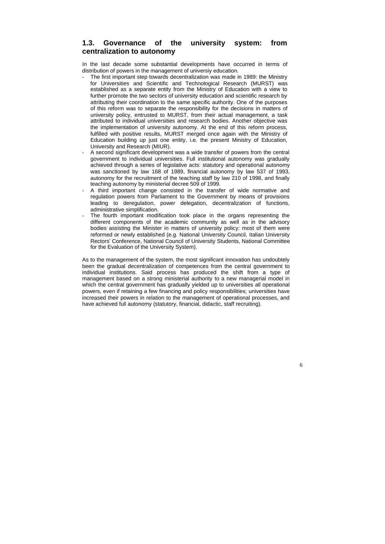# **1.3. Governance of the university system: from centralization to autonomy**

In the last decade some substantial developments have occurred in terms of distribution of powers in the management of universiy education.

- The first important step towards decentralization was made in 1989: the Ministry for Universities and Scientific and Technological Research (MURST) was established as a separate entity from the Ministry of Education with a view to further promote the two sectors of university education and scientific research by attributing their coordination to the same specific authority. One of the purposes of this reform was to separate the responsibility for the decisions in matters of university policy, entrusted to MURST, from their actual management, a task attributed to individual universities and research bodies. Another objective was the implementation of university autonomy. At the end of this reform process, fulfilled with positive results, MURST merged once again with the Ministry of Education building up just one entity, i.e. the present Ministry of Education, University and Research (MIUR).
- A second significant development was a wide transfer of powers from the central government to individual universities. Full institutional autonomy was gradually achieved through a series of legislative acts: statutory and operational autonomy was sanctioned by law 168 of 1989, financial autonomy by law 537 of 1993, autonomy for the recruitment of the teaching staff by law 210 of 1998, and finally teaching autonomy by ministerial decree 509 of 1999.
- A third important change consisted in the transfer of wide normative and regulation powers from Parliament to the Government by means of provisions leading to deregulation, power delegation, decentralization of functions, administrative simplification.
- The fourth important modification took place in the organs representing the different components of the academic community as well as in the advisory bodies assisting the Minister in matters of university policy: most of them were reformed or newly established (e.g. National University Council, Italian University Rectors' Conference, National Council of University Students, National Committee for the Evaluation of the University System).

As to the management of the system, the most significant innovation has undoubtely been the gradual decentralization of competences from the central government to individual institutions. Said process has produced the shift from a type of management based on a strong ministerial authority to a new managerial model in which the central government has gradually yielded up to universities all operational powers, even if retaining a few financing and policy responsibilities; universities have increased their powers in relation to the management of operational processes, and have achieved full autonomy (statutory, financial, didactic, staff recruiting).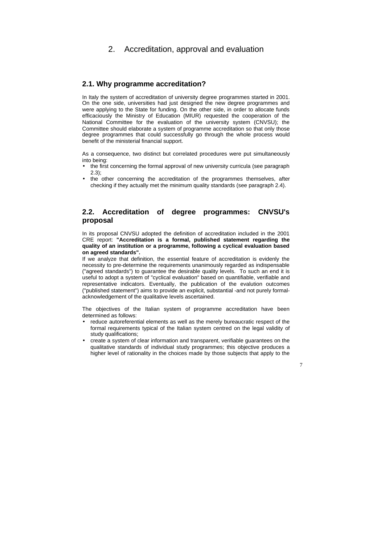# 2. Accreditation, approval and evaluation

## **2.1. Why programme accreditation?**

In Italy the system of accreditation of university degree programmes started in 2001. On the one side, universities had just designed the new degree programmes and were applying to the State for funding. On the other side, in order to allocate funds efficaciously the Ministry of Education (MIUR) requested the cooperation of the National Committee for the evaluation of the university system (CNVSU); the Committee should elaborate a system of programme accreditation so that only those degree programmes that could successfully go through the whole process would benefit of the ministerial financial support.

- the first concerning the formal approval of new university curricula (see paragraph 2.3);
- the other concerning the accreditation of the programmes themselves, after checking if they actually met the minimum quality standards (see paragraph 2.4).

As a consequence, two distinct but correlated procedures were put simultaneously into being:

## **2.2. Accreditation of degree programmes: CNVSU's proposal**

In its proposal CNVSU adopted the definition of accreditation included in the 2001 CRE report: **"Accreditation is a formal, published statement regarding the quality of an institution or a programme, following a cyclical evaluation based on agreed standards".**

If we analyze that definition, the essential feature of accreditation is evidenly the necessity to pre-determine the requirements unanimously regarded as indispensable ("agreed standards") to guarantee the desirable quality levels. To such an end it is useful to adopt a system of "cyclical evaluation" based on quantifiable, verifiable and representative indicators. Eventually, the publication of the evalution outcomes ("published statement") aims to provide an explicit, substantial -and not purely formalacknowledgement of the qualitative levels ascertained.

The objectives of the Italian system of programme accreditation have been determined as follows:

- reduce autoreferential elements as well as the merely bureaucratic respect of the formal requirements typical of the Italian system centred on the legal validity of study qualifications;
- create a system of clear information and transparent, verifiable guarantees on the qualitative standards of individual study programmes; this objective produces a higher level of rationality in the choices made by those subjects that apply to the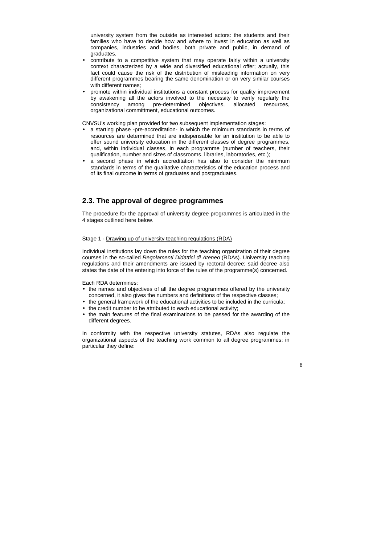university system from the outside as interested actors: the students and their families who have to decide how and where to invest in education as well as companies, industries and bodies, both private and public, in demand of graduates.

- contribute to a competitive system that may operate fairly within a university context characterized by a wide and diversified educational offer; actually, this fact could cause the risk of the distribution of misleading information on very different programmes bearing the same denomination or on very similar courses with different names;
- promote within individual institutions a constant process for quality improvement by awakening all the actors involved to the necessity to verify regularly the consistency among pre-determined objectives, allocated resources, organizational committment, educational outcomes.

CNVSU's working plan provided for two subsequent implementation stages:

- a starting phase -pre-accreditation- in which the minimum standards in terms of resources are determined that are indispensable for an institution to be able to offer sound university education in the different classes of degree programmes, and, within individual classes, in each programme (number of teachers, their qualification, number and sizes of classrooms, libraries, laboratories, etc.);
- a second phase in which accreditation has also to consider the minimum standards in terms of the qualitative characteristics of the education process and of its final outcome in terms of graduates and postgraduates.

## **2.3. The approval of degree programmes**

The procedure for the approval of university degree programmes is articulated in the 4 stages outlined here below.

#### Stage 1 - Drawing up of university teaching regulations (RDA)

Individual institutions lay down the rules for the teaching organization of their degree courses in the so-called Regolamenti Didattici di Ateneo (RDAs). University teaching regulations and their amendments are issued by rectoral decree; said decree also states the date of the entering into force of the rules of the programme(s) concerned.

Each RDA determines:

- the names and objectives of all the degree programmes offered by the university concerned, it also gives the numbers and definitions of the respective classes;
- the general framework of the educational activities to be included in the curricula;
- the credit number to be attributed to each educational activity;
- the main features of the final examinations to be passed for the awarding of the different degrees.

In conformity with the respective university statutes, RDAs also regulate the organizational aspects of the teaching work common to all degree programmes; in particular they define: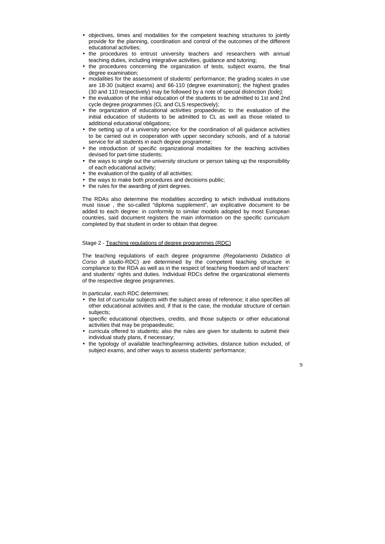- objectives, times and modalities for the competent teaching structures to jointly provide for the planning, coordination and control of the outcomes of the different educational activities;
- the procedures to entrust university teachers and researchers with annual teaching duties, including integrative activities, guidance and tutoring;
- the procedures concerning the organization of tests, subject exams, the final degree examination;
- modalities for the assessment of students' performance; the grading scales in use are 18-30 (subject exams) and 66-110 (degree examination); the highest grades (30 and 110 respectively) may be followed by a note of special distinction (lode);
- the evaluation of the initial education of the students to be admitted to 1st and 2nd cycle degree programmes (CL and CLS respectively);
- the organization of educational activities propaedeutic to the evaluation of the initial education of students to be admitted to CL as well as those related to additional educational obligations;
- the setting up of a university service for the coordination of all guidance activities to be carried out in cooperation with upper secondary schools, and of a tutorial service for all students in each degree programme;
- the introduction of specific organizational modalities for the teaching activities devised for part-time students;
- the ways to single out the university structure or person taking up the responsibility of each educational activity;
- the evaluation of the quality of all activities;
- the ways to make both procedures and decisions public;
- the rules for the awarding of joint degrees.

- the list of curricular subjects with the subject areas of reference; it also specifies all other educational activities and, if that is the case, the modular structure of certain subjects;
- specific educational objectives, credits, and those subjects or other educational activities that may be propaedeutic;
- curricula offered to students; also the rules are given for students to submit their individual study plans, if necessary;
- the typology of available teaching/learning activities, distance tuition included, of subject exams, and other ways to assess students' performance;

The RDAs also determine the modalities according to which individual institutions must issue , the so-called "diploma supplement", an explicative document to be added to each degree: in conformity to similar models adopted by most European countries, said document registers the main information on the specific curriculum completed by that student in order to obtain that degree.

#### Stage 2 - Teaching regulations of degree programmes (RDC)

The teaching regulations of each degree programme (Regolamento Didattico di Corso di studio-RDC) are determined by the competent teaching structure in compliance to the RDA as well as in the respect of teaching freedom and of teachers' and students' rights and duties. Individual RDCs define the organizational elements of the respective degree programmes.

In particular, each RDC determines: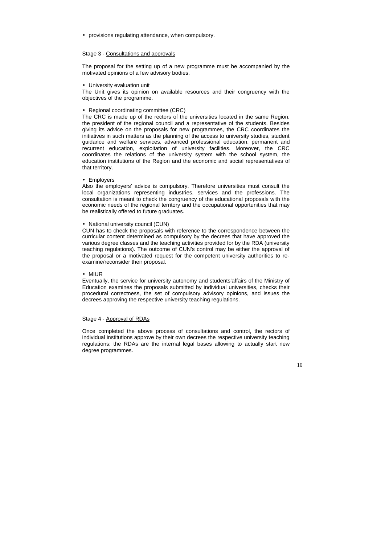• provisions regulating attendance, when compulsory.

#### Stage 3 - Consultations and approvals

The proposal for the setting up of a new programme must be accompanied by the motivated opinions of a few advisory bodies.

• University evaluation unit

The Unit gives its opinion on available resources and their congruency with the objectives of the programme.

#### • Regional coordinating committee (CRC)

The CRC is made up of the rectors of the universities located in the same Region, the president of the regional council and a representative of the students. Besides giving its advice on the proposals for new programmes, the CRC coordinates the initiatives in such matters as the planning of the access to university studies, student guidance and welfare services, advanced professional education, permanent and recurrent education, exploitation of university facilities. Moreover, the CRC coordinates the relations of the university system with the school system, the education institutions of the Region and the economic and social representatives of that territory.

• Employers

Also the employers' advice is compulsory. Therefore universities must consult the local organizations representing industries, services and the professions. The consultation is meant to check the congruency of the educational proposals with the economic needs of the regional territory and the occupational opportunities that may be realistically offered to future graduates.

#### • National university council (CUN)

CUN has to check the proposals with reference to the correspondence between the curricular content determined as compulsory by the decrees that have approved the various degree classes and the teaching activities provided for by the RDA (university teaching regulations). The outcome of CUN's control may be either the approval of the proposal or a motivated request for the competent university authorities to reexamine/reconsider their proposal.

#### • MIUR

Eventually, the service for university autonomy and students'affairs of the Ministry of Education examines the proposals submitted by individual universities, checks their procedural correctness, the set of compulsory advisory opinions, and issues the decrees approving the respective university teaching regulations.

#### Stage 4 - Approval of RDAs

Once completed the above process of consultations and control, the rectors of individual institutions approve by their own decrees the respective university teaching regulations; the RDAs are the internal legal bases allowing to actually start new degree programmes.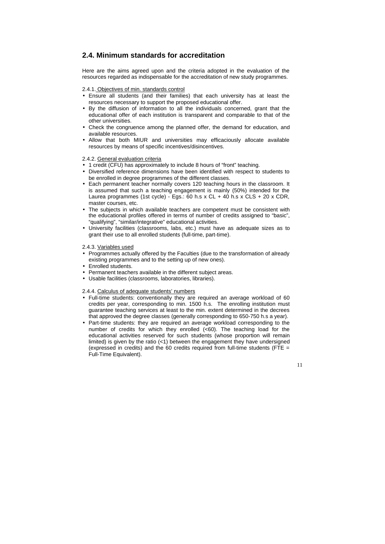## **2.4. Minimum standards for accreditation**

Here are the aims agreed upon and the criteria adopted in the evaluation of the resources regarded as indispensable for the accreditation of new study programmes.

2.4.1. Objectives of min. standards control

- Ensure all students (and their families) that each university has at least the resources necessary to support the proposed educational offer.
- By the diffusion of information to all the individuals concerned, grant that the educational offer of each institution is transparent and comparable to that of the other universities.
- Check the congruence among the planned offer, the demand for education, and available resources.
- Allow that both MIUR and universities may efficaciously allocate available resources by means of specific incentives/disincentives.

2.4.2. General evaluation criteria

- 1 credit (CFU) has approximately to include 8 hours of "front" teaching.
- Diversified reference dimensions have been identified with respect to students to be enrolled in degree programmes of the different classes.
- Each permanent teacher normally covers 120 teaching hours in the classroom. It is assumed that such a teaching engagement is mainly (50%) intended for the Laurea programmes (1st cycle) - Egs.: 60 h.s x CL + 40 h.s x CLS + 20 x CDR, master courses, etc.
- The subjects in which available teachers are competent must be consistent with the educational profiles offered in terms of number of credits assigned to "basic", "qualifying", "similar/integrative" educational activities.
- University facilities (classrooms, labs, etc.) must have as adequate sizes as to grant their use to all enrolled students (full-time, part-time).

2.4.3. Variables used

- Programmes actually offered by the Faculties (due to the transformation of already existing programmes and to the setting up of new ones).
- Enrolled students.
- Permanent teachers available in the different subject areas.
- Usable facilities (classrooms, laboratories, libraries).

2.4.4. Calculus of adequate students' numbers

- Full-time students: conventionally they are required an average workload of 60 credits per year, corresponding to min. 1500 h.s. The enrolling institution must guarantee teaching services at least to the min. extent determined in the decrees that approved the degree classes (generally corresponding to 650-750 h.s a year).
- Part-time students: they are required an average workload corresponding to the number of credits for which they enrolled (<60). The teaching load for the educational activities reserved for such students (whose proportion will remain limited) is given by the ratio  $\left($ <1) between the engagement they have undersigned (expressed in credits) and the 60 credits required from full-time students (FTE = Full-Time Equivalent).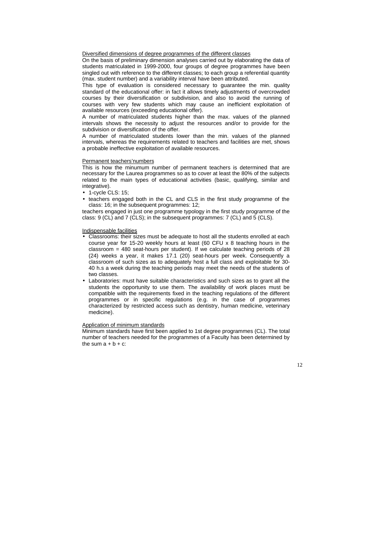Diversified dimensions of degree programmes of the different classes

On the basis of preliminary dimension analyses carried out by elaborating the data of students matriculated in 1999-2000, four groups of degree programmes have been singled out with reference to the different classes; to each group a referential quantity (max. student number) and a variability interval have been attributed.

This type of evaluation is considered necessary to guarantee the min. quality standard of the educational offer: in fact it allows timely adjustments of overcrowded courses by their diversification or subdivision, and also to avoid the running of courses with very few students which may cause an inefficient exploitation of available resources (exceeding educational offer).

- 1-cycle CLS: 15;
- teachers engaged both in the CL and CLS in the first study programme of the class: 16; in the subsequent programmes: 12;

A number of matriculated students higher than the max. values of the planned intervals shows the necessity to adjust the resources and/or to provide for the subdivision or diversification of the offer.

A number of matriculated students lower than the min. values of the planned intervals, whereas the requirements related to teachers and facilities are met, shows a probable ineffective exploitation of available resources.

#### Permanent teachers'numbers

This is how the minumum number of permanent teachers is determined that are necessary for the Laurea programmes so as to cover at least the 80% of the subjects related to the main types of educational activities (basic, qualifying, similar and integrative).

Minimum standards have first been applied to 1st degree programmes (CL). The total number of teachers needed for the programmes of a Faculty has been determined by the sum  $a + b + c$ :

teachers engaged in just one programme typology in the first study programme of the class: 9 (CL) and 7 (CLS); in the subsequent programmes: 7 (CL) and 5 (CLS).

Indispensable facilities

- Classrooms: their sizes must be adequate to host all the students enrolled at each course year for 15-20 weekly hours at least (60 CFU x 8 teaching hours in the classroom  $=$  480 seat-hours per student). If we calculate teaching periods of 28 (24) weeks a year, it makes 17.1 (20) seat-hours per week. Consequently a classroom of such sizes as to adequately host a full class and exploitable for 30- 40 h.s a week during the teaching periods may meet the needs of the students of two classes.
- Laboratories: must have suitable characteristics and such sizes as to grant all the students the opportunity to use them. The availability of work places must be compatible with the requirements fixed in the teaching regulations of the different programmes or in specific regulations (e.g. in the case of programmes characterized by restricted access such as dentistry, human medicine, veterinary medicine).

#### Application of minimum standards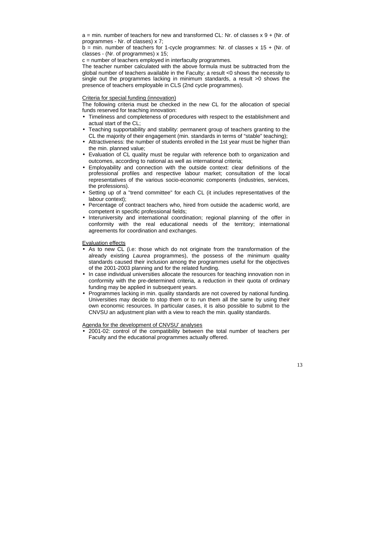$a = min$ . number of teachers for new and transformed CL: Nr. of classes  $x + 9 + (Nr. 0f)$ programmes - Nr. of classes) x 7;

 $b = min$ . number of teachers for 1-cycle programmes: Nr. of classes x 15 + (Nr. of classes - (Nr. of programmes) x 15;

c = number of teachers employed in interfaculty programmes.

The teacher number calculated with the above formula must be subtracted from the global number of teachers available in the Faculty; a result <0 shows the necessity to single out the programmes lacking in minimum standards, a result >0 shows the presence of teachers employable in CLS (2nd cycle programmes).

#### Criteria for special funding (innovation)

The following criteria must be checked in the new CL for the allocation of special funds reserved for teaching innovation:

- Timeliness and completeness of procedures with respect to the establishment and actual start of the CL;
- Teaching supportability and stability: permanent group of teachers granting to the CL the majority of their engagement (min. standards in terms of "stable" teaching);
- Attractiveness: the number of students enrolled in the 1st year must be higher than the min. planned value;
- Evaluation of CL quality must be regular with reference both to organization and outcomes, according to national as well as international criteria;
- Employability and connection with the outside context: clear definitions of the professional profiles and respective labour market; consultation of the local representatives of the various socio-economic components (industries, services, the professions).
- Setting up of a "trend committee" for each CL (it includes representatives of the labour context);
- Percentage of contract teachers who, hired from outside the academic world, are competent in specific professional fields;
- Interuniversity and international coordination; regional planning of the offer in conformity with the real educational needs of the territory; international agreements for coordination and exchanges.

Evaluation effects

- As to new CL (i.e: those which do not originate from the transformation of the already existing Laurea programmes), the possess of the minimum quality standards caused their inclusion among the programmes useful for the objectives of the 2001-2003 planning and for the related funding.
- In case individual universities allocate the resources for teaching innovation non in conformity with the pre-determined criteria, a reduction in their quota of ordinary funding may be applied in subsequent years.
- Programmes lacking in min. quality standards are not covered by national funding. Universities may decide to stop them or to run them all the same by using their own economic resources. In particular cases, it is also possible to submit to the CNVSU an adjustment plan with a view to reach the min. quality standards.

Agenda for the development of CNVSU' analyses

• 2001-02: control of the compatibility between the total number of teachers per Faculty and the educational programmes actually offered.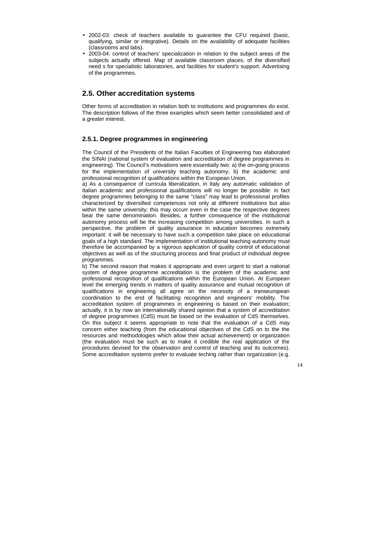- 2002-03: check of teachers available to guarantee the CFU required (basic, qualifying, similar or integrative). Details on the availability of adequate facilities (classrooms and labs).
- 2003-04: control of teachers' specialization in relation to the subject areas of the subjects actually offered. Map of available classroom places, of the diversified need s for specialistic laboratories, and facilities for student's support. Advertising of the programmes.

## **2.5. Other accreditation systems**

Other forms of accreditation in relation both to institutions and programmes do exist. The description follows of the three examples which seem better consolidated and of a greater interest.

## **2.5.1. Degree programmes in engineering**

The Council of the Presidents of the Italian Faculties of Engineering has elaborated the SINAI (national system of evaluation and accreditation of degree programmes in engineering). The Council's motivations were essentially two: a) the on-going process for the implementation of university teaching autonomy; b) the academic and professional recognition of qualifications within the European Union.

a) As a consequence of curricula liberalization, in Italy any automatic validation of Italian academic and professional qualifications will no longer be possible: in fact degree programmes belonging to the same "class" may lead to professional profiles characterized by diversified competences not only at different institutions but also within the same university; this may occurr even in the case the respective degrees bear the same denomination. Besides, a further consequence of the institutional autonomy process will be the increasing competition among universities. In such a perspective, the problem of quality assurance in education becomes extremely important: it will be necessary to have such a competition take place on educational goals of a high standard. The implementation of institutional teaching autonomy must therefore be accompanied by a rigorous application of quality control of educational objectives as well as of the structuring process and final product of individual degree programmes.

b) The second reason that makes it appropriate and even urgent to start a national system of degree programme accreditation is the problem of the academic and professional recognition of qualifications within the European Union. At European level the emerging trends in matters of quality assurance and mutual recognition of qualifications in engineering all agree on the necessity of a transeuropean coordination to the end of facilitating recognition and engineers' mobility. The accreditation system of programmes in engineering is based on their evaluation; actually, it is by now an internationally shared opinion that a system of accreditation of degree programmes (CdS) must be based on the evaluation of CdS themselves. On this subject it seems appropriate to note that the evaluation of a CdS may concern either teaching (from the educational objectives of the CdS on to the the resources and methodologies which allow their actual achievement) or organization (the evaluation must be such as to make it credible the real application of the procedures devised for the observation and control of teaching and its outcomes). Some accreditation systems prefer to evaluate teching rather than organization (e.g.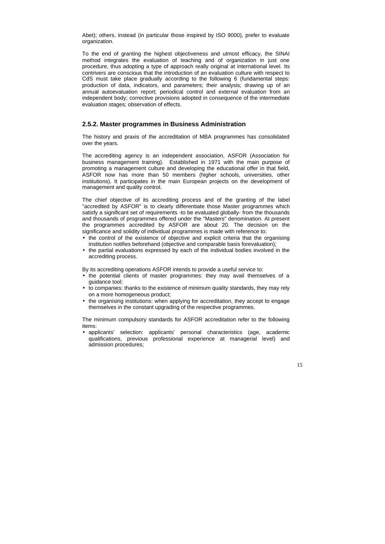Abet); others, instead (in particular those inspired by ISO 9000), prefer to evaluate organization.

To the end of granting the highest objectiveness and utmost efficacy, the SINAI method integrates the evaluation of teaching and of organization in just one procedure, thus adopting a type of approach really original at international level. Its contrivers are conscious that the introduction of an evaluation culture with respect to CdS must take place gradually according to the following 6 (fundamental steps: production of data, indicators, and parameters; their analysis; drawing up of an annual autoevaluation report; periodical control and external evaluation from an independent body; corrective provisions adopted in consequence of the intermediate evaluation stages; observation of effects.

#### **2.5.2. Master programmes in Business Administration**

The history and praxis of the accreditation of MBA programmes has consolidated over the years.

- the control of the existence of objective and explicit criteria that the organising institution notifies beforehand (objective and comparable basis forevaluation);
- the partial evaluations expressed by each of the individual bodies involved in the accrediting process.

The accrediting agency is an independent association, ASFOR (Association for business management training). Established in 1971 with the main purpose of promoting a management culture and developing the educational offer in that field, ASFOR now has more than 50 members (higher schools, universities, other institutions). It participates in the main European projects on the development of management and quality control.

The chief objective of its accrediting process and of the granting of the label "accredited by ASFOR" is to clearly differentiate those Master programmes which satisfy a significant set of requirements -to be evaluated globally- from the thousands and thousands of programmes offered under the "Masters" denomination. At present the programmes accredited by ASFOR are about 20. The decision on the significance and solidity of individual programmes is made with reference to:

By its accrediting operations ASFOR intends to provide a useful service to:

- the potential clients of master programmes: they may avail themselves of a guidance tool;
- to companies: thanks to the existence of minimum quality standards, they may rely on a more homogeneous product;
- the organising institutions: when applying for accreditation, they accept to engage themselves in the constant upgrading of the respective programmes.

The minimum compulsory standards for ASFOR accreditation refer to the following items:

• applicants' selection: applicants' personal characteristics (age, academic qualifications, previous professional experience at managerial level) and admission procedures;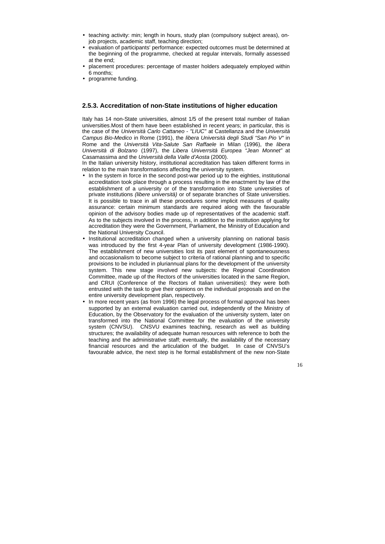- teaching activity: min; length in hours, study plan (compulsory subject areas), onjob projects, academic staff, teaching direction;
- evaluation of participants' performance: expected outcomes must be determined at the beginning of the programme, checked at regular intervals, formally assessed at the end;
- placement procedures: percentage of master holders adequately employed within 6 months;
- programme funding.

## **2.5.3. Accreditation of non-State institutions of higher education**

Italy has 14 non-State universities, almost 1/5 of the present total number of Italian universities.Most of them have been established in recent years; in particular, this is the case of the Università Carlo Cattaneo - "LIUC" at Castellanza and the Università Campus Bio-Medico in Rome (1991), the libera Università degli Studi "San Pio V" in Rome and the Università Vita-Salute San Raffaele in Milan (1996), the libera Università di Bolzano (1997), the Libera Univerrsità Europea "Jean Monnet" at Casamassima and the Università della Valle d'Aosta (2000).

In the Italian university history, institutional accreditation has taken different forms in relation to the main transformations affecting the university system.

- In the system in force in the second post-war period up to the eighties, institutional accreditation took place through a process resulting in the enactment by law of the establishment of a university or of the transformation into State universities of private institutions (libere università) or of separate branches of State universities. It is possible to trace in all these procedures some implicit measures of quality assurance: certain minimum standards are required along with the favourable opinion of the advisory bodies made up of representatives of the academic staff. As to the subjects involved in the process, in addition to the institution applying for accreditation they were the Government, Parliament, the Ministry of Education and the National University Council.
- Institutional accreditation changed when a university planning on national basis was introduced by the first 4-year Plan of university development (1986-1990). The establishment of new universities lost its past element of spontaneousness and occasionalism to become subject to criteria of rational planning and to specific provisions to be included in pluriannual plans for the development of the university system. This new stage involved new subjects: the Regional Coordination Committee, made up of the Rectors of the universities located in the same Region, and CRUI (Conference of the Rectors of Italian universities): they were both entrusted with the task to give their opinions on the individual proposals and on the entire university development plan, respectively.
- In more recent years (as from 1996) the legal process of formal approval has been supported by an external evaluation carried out, independently of the Ministry of Education, by the Observatory for the evaluation of the university system, later on transformed into the National Committee for the evaluation of the university system (CNVSU). CNSVU examines teaching, research as well as building structures; the availability of adequate human resources with reference to both the teaching and the administrative staff; eventually, the availability of the necessary financial resources and the articulation of the budget. In case of CNVSU's favourable advice, the next step is he formal establishment of the new non-State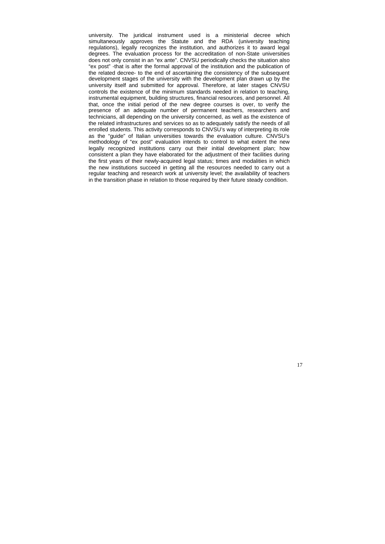university. The juridical instrument used is a ministerial decree which simultaneously approves the Statute and the RDA (university teaching regulations), legally recognizes the institution, and authorizes it to award legal degrees. The evaluation process for the accreditation of non-State universities does not only consist in an "ex ante". CNVSU periodically checks the situation also "ex post" -that is after the formal approval of the institution and the publication of the related decree- to the end of ascertaining the consistency of the subsequent development stages of the university with the development plan drawn up by the university itself and submitted for approval. Therefore, at later stages CNVSU controls the existence of the minimum standards needed in relation to teaching, instrumental equipment, building structures, financial resources, and personnel. All that, once the initial period of the new degree courses is over, to verify the presence of an adequate number of permanent teachers, researchers and technicians, all depending on the university concerned, as well as the existence of the related infrastructures and services so as to adequately satisfy the needs of all enrolled students. This activity corresponds to CNVSU's way of interpreting its role as the "guide" of Italian universities towards the evaluation culture. CNVSU's methodology of "ex post" evaluation intends to control to what extent the new legally recognized institutions carry out their initial development plan; how consistent a plan they have elaborated for the adjustment of their facilities during the first years of their newly-acquired legal status; times and modalities in which the new institutions succeed in getting all the resources needed to carry out a regular teaching and research work at university level; the availability of teachers in the transition phase in relation to those required by their future steady condition.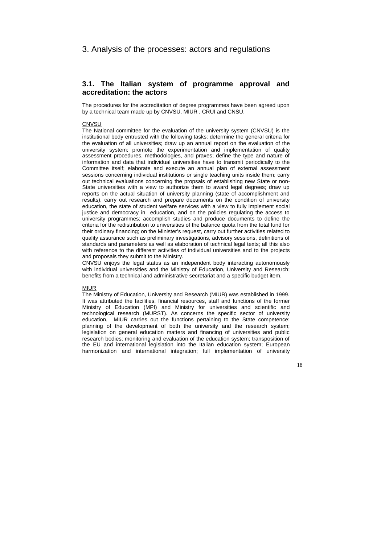## 3. Analysis of the processes: actors and regulations

## **3.1. The Italian system of programme approval and accreditation: the actors**

The procedures for the accreditation of degree programmes have been agreed upon by a technical team made up by CNVSU, MIUR , CRUI and CNSU.

#### **CNVSU**

The National committee for the evaluation of the university system (CNVSU) is the institutional body entrusted with the following tasks: determine the general criteria for the evaluation of all universities; draw up an annual report on the evaluation of the university system; promote the experimentation and implementation of quality assessment procedures, methodologies, and praxes; define the type and nature of information and data that individual universities have to transmit periodically to the Committee itself; elaborate and execute an annual plan of external assessment sessions concerning individual institutions or single teaching units inside them; carry out technical evaluations concerning the propsals of establishing new State or non-State universities with a view to authorize them to award legal degrees; draw up reports on the actual situation of university planning (state of accomplishment and results), carry out research and prepare documents on the condition of university education, the state of student welfare services with a view to fully implement social justice and democracy in education, and on the policies regulating the access to university programmes; accomplish studies and produce documents to define the criteria for the redistribution to universities of the balance quota from the total fund for their ordinary financing; on the Minister's request, carry out further activities related to quality assurance such as preliminary investigations, advisory sessions, definitions of standards and parameters as well as elaboration of technical legal texts; all this also with reference to the different activities of individual universities and to the projects and proposals they submit to the Ministry.

CNVSU enjoys the legal status as an independent body interacting autonomously with individual universities and the Ministry of Education, University and Research; benefits from a technical and administrative secretariat and a specific budget item.

#### MIUR

The Ministry of Education, University and Research (MIUR) was established in 1999. It was attributed the facilities, financial resources, staff and functions of the former Ministry of Education (MPI) and Ministry for universities and scientific and technological research (MURST). As concerns the specific sector of university education, MIUR carries out the functions pertaining to the State competence: planning of the development of both the university and the research system; legislation on general education matters and financing of universities and public research bodies; monitoring and evaluation of the education system; transposition of the EU and international legislation into the Italian education system; European harmonization and international integration; full implementation of university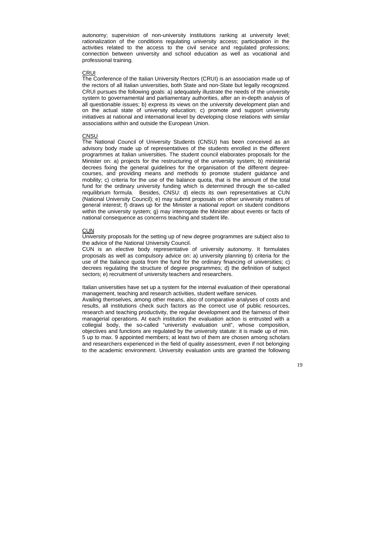autonomy; supervision of non-university institutions ranking at university level; rationalization of the conditions regulating university access; participation in the activities related to the access to the civil service and regulated professions; connection between university and school education as well as vocational and professional training.

#### CRUI

The Conference of the Italian University Rectors (CRUI) is an association made up of the rectors of all Italian universities, both State and non-State but legally recognized. CRUI pursues the following goals: a) adequately illustrate the needs of the university system to governamental and parliamentary authorities, after an in-depth analysis of all questionable issues; b) express its views on the university development plan and on the actual state of university education; c) promote and support university initiatives at national and international level by developing close relations with similar associations within and outside the European Union.

#### **CNSU**

The National Council of University Students (CNSU) has been conceived as an advisory body made up of representatives of the students enrolled in the different programmes at Italian universities. The student council elaborates proposals for the Minister on: a) projects for the restructuring of the university system; b) ministerial decrees fixing the general guidelines for the organisation of the different degreecourses, and providing means and methods to promote student guidance and mobility; c) criteria for the use of the balance quota, that is the amount of the total fund for the ordinary university funding which is determined through the so-called requilibrium formula. Besides, CNSU: d) elects its own representatives at CUN (National University Council); e) may submit proposals on other university matters of general interest; f) draws up for the Minister a national report on student conditions within the university system; g) may interrogate the Minister about events or facts of national consequence as concerns teaching and student life.

#### CUN

University proposals for the setting up of new degree programmes are subject also to the advice of the National University Council.

CUN is an elective body representative of university autonomy. It formulates proposals as well as compulsory advice on: a) university planning b) criteria for the use of the balance quota from the fund for the ordinary financing of universities; c) decrees regulating the structure of degree programmes; d) the definition of subject sectors; e) recruitment of university teachers and researchers.

Italian universities have set up a system for the internal evaluation of their operational management, teaching and research activities, student welfare services.

Availing themselves, among other means, also of comparative analyses of costs and results, all institutions check such factors as the correct use of public resources, research and teaching productivity, the regular development and the fairness of their managerial operations. At each institution the evaluation action is entrusted with a collegial body, the so-called "university evaluation unit", whose composition, objectives and functions are regulated by the university statute: it is made up of min. 5 up to max. 9 appointed members; at least two of them are chosen among scholars and researchers experienced in the field of quality assessment, even if not belonging to the academic environment. University evaluation units are granted the following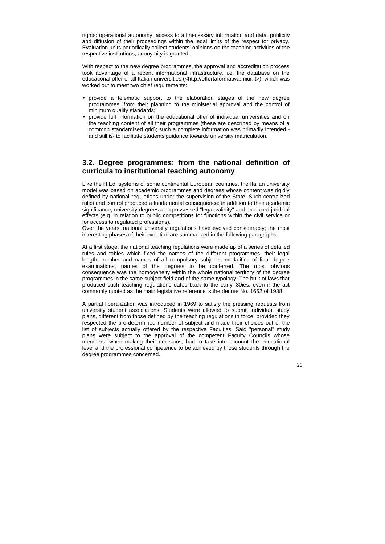rights: operational autonomy, access to all necessary information and data, publicity and diffusion of their proceedings within the legal limits of the respect for privacy. Evaluation units periodically collect students' opinions on the teaching activities of the respective institutions; anonymity is granted.

With respect to the new degree programmes, the approval and accreditation process took advantage of a recent informational infrastructure, i.e. the database on the educational offer of all Italian universities [\(<http://offertaformativa.miur.it>\)](http://offertaformativa.miur.it), which was worked out to meet two chief requirements:

- provide a telematic support to the elaboration stages of the new degree programmes, from their planning to the ministerial approval and the control of minimum quality standards;
- provide full information on the educational offer of individual universities and on the teaching content of all their programmes (these are described by means of a common standardised grid); such a complete information was primarily intended and still is- to facilitate students'guidance towards university matriculation.

## **3.2. Degree programmes: from the national definition of curricula to institutional teaching autonomy**

Like the H.Ed. systems of some continental European countries, the Italian university model was based on academic programmes and degrees whose content was rigidly defined by national regulations under the supervision of the State. Such centralized rules and control produced a fundamental consequence: in addition to their academic significance, university degrees also possessed "legal validity" and produced juridical effects (e.g. in relation to public competitions for functions within the civil service or for access to regulated professions).

Over the years, national university regulations have evolved considerably; the most interesting phases of their evolution are summarized in the following paragraphs.

At a first stage, the national teaching regulations were made up of a series of detailed rules and tables which fixed the names of the different programmes, their legal length, number and names of all compulsory subjects, modalities of final degree examinations, names of the degrees to be conferred. The most obvious consequence was the homogeneity within the whole national territory of the degree programmes in the same subject field and of the same typology. The bulk of laws that produced such teaching regulations dates back to the early '30ies, even if the act commonly quoted as the main legislative reference is the decree No. 1652 of 1938.

A partial liberalization was introduced in 1969 to satisfy the pressing requests from university student associations. Students were allowed to submit individual study plans, different from those defined by the teaching regulations in force, provided they respected the pre-determined number of subject and made their choices out of the list of subjects actually offered by the respective Faculties. Said "personal" study plans were subject to the approval of the competent Faculty Councils whose members, when making their decisions, had to take into account the educational level and the professional competence to be achieved by those students through the degree programmes concerned.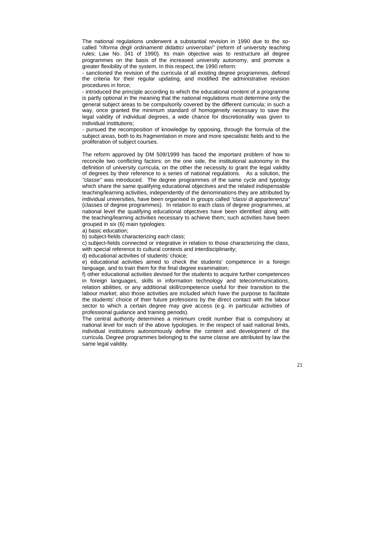The national regulations underwent a substantial revision in 1990 due to the socalled "riforma degli ordinamenti didattici universitari" (reform of university teaching rules; Law No. 341 of 1990). Its main objective was to restructure all degree programmes on the basis of the increased university autonomy, and promote a greater flexibility of the system. In this respect, the 1990 reform:

- sanctioned the revision of the curricula of all existing degree programmes, defined the criteria for their regular updating, and modified the administrative revision procedures in force;

- introduced the principle according to which the educational content of a programme is partly optional in the meaning that the national regulations must determine only the general subject areas to be compulsorily covered by the different curricula; in such a way, once granted the minimum standard of homogeneity necessary to save the legal validity of individual degrees, a wide chance for discretionality was given to individual institutions;

- pursued the recomposition of knowledge by opposing, through the formula of the subject areas, both to its fragmentation in more and more specialistic fields and to the proliferation of subject courses.

The reform approved by DM 509/1999 has faced the important problem of how to reconcile two conflicting factors: on the one side, the institutional autonomy in the definition of university curricula, on the other the necessity to grant the legal validity of degrees by their reference to a series of national regulations. As a solution, the "classe" was introduced. The degree programmes of the same cycle and typology which share the same qualifying educational objectives and the related indispensable teaching/learning activities, independently of the denominations they are attributed by individual universities, have been organised in groups called "classi di appartenenza" (classes of degree programmes). In relation to each class of degree programmes, at national level the qualifying educational objectives have been identified along with the teaching/learning activities necessary to achieve them; such activities have been grouped in six (6) main typologies:

a) basic education;

b) subject-fields characterizing each class;

c) subject-fields connected or integrative in relation to those characterizing the class, with special reference to cultural contexts and interdisciplinarity;

d) educational activities of students' choice;

e) educational activities aimed to check the students' competence in a foreign language, and to train them for the final degree examination;

f) other educational activities devised for the students to acquire further competences in foreign languages, skills in information technology and telecommunications, relation abilities, or any additional skill/competence useful for their transition to the labour market; also those activities are included which have the purpose to facilitate the students' choice of their future professions by the direct contact with the labour sector to which a certain degree may give access (e.g. in particular activities of professional guidance and training periods).

The central authority determines a minimum credit number that is compulsory at national level for each of the above typologies. In the respect of said national limits, individual institutions autonomously define the content and development of the curricula. Degree programmes belonging to the same classe are attributed by law the same legal validity.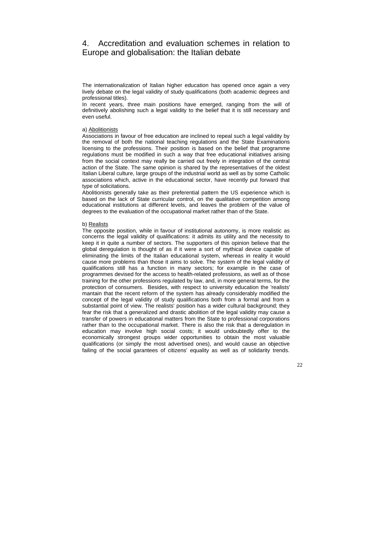# 4. Accreditation and evaluation schemes in relation to Europe and globalisation: the Italian debate

The internationalization of Italian higher education has opened once again a very lively debate on the legal validity of study qualifications (both academic degrees and professional titles).

In recent years, three main positions have emerged, ranging from the will of definitively abolishing such a legal validity to the belief that it is still necessary and even useful.

#### a) Abolitionists

Associations in favour of free education are inclined to repeal such a legal validity by the removal of both the national teaching regulations and the State Examinations licensing to the professions. Their position is based on the belief that programme regulations must be modified in such a way that free educational initiatives arising from the social context may really be carried out freely in integration of the central action of the State. The same opinion is shared by the representatives of the oldest Italian Liberal culture, large groups of the industrial world as well as by some Catholic associations which, active in the educational sector, have recently put forward that type of solicitations.

Abolitionists generally take as their preferential pattern the US experience which is based on the lack of State curricular control, on the qualitative competition among educational institutions at different levels, and leaves the problem of the value of degrees to the evaluation of the occupational market rather than of the State.

#### b) Realists

The opposite position, while in favour of institutional autonomy, is more realistic as concerns the legal validity of qualifications: it admits its utility and the necessity to keep it in quite a number of sectors. The supporters of this opinion believe that the global deregulation is thought of as if it were a sort of mythical device capable of eliminating the limits of the Italian educational system, whereas in reality it would cause more problems than those it aims to solve. The system of the legal validity of qualifications still has a function in many sectors; for example in the case of programmes devised for the access to health-related professions, as well as of those training for the other professions regulated by law, and, in more general terms, for the protection of consumers. Besides, with respect to university education the 'realists' mantain that the recent reform of the system has already considerably modified the concept of the legal validity of study qualifications both from a formal and from a substantial point of view. The realists' position has a wider cultural background; they fear the risk that a generalized and drastic abolition of the legal validity may cause a transfer of powers in educational matters from the State to professional corporations rather than to the occupational market. There is also the risk that a deregulation in education may involve high social costs; it would undoubtedly offer to the economically strongest groups wider opportunities to obtain the most valuable qualifications (or simply the most advertised ones), and would cause an objective failing of the social garantees of citizens' equality as well as of solidarity trends.